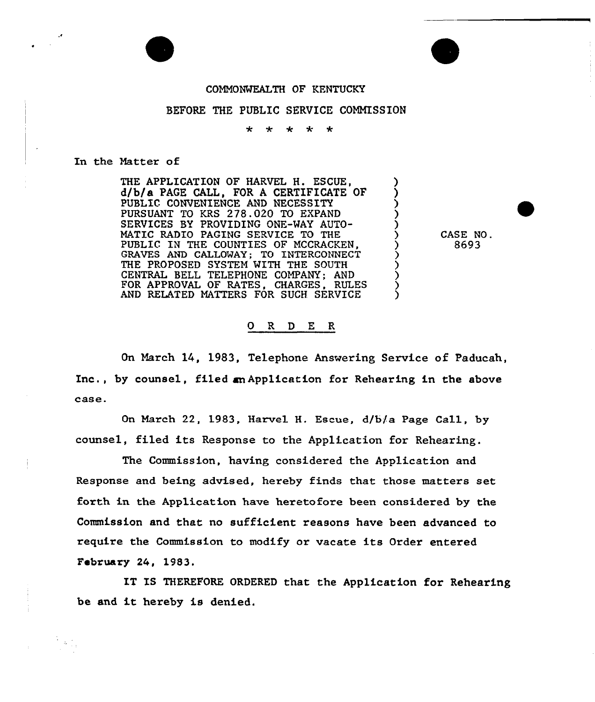## COMMONWEALTH OF KFNTUCKY

## BEFORE THE PUBLIC SERVICE COMMISSION

\* \* \* \* \*

## In the Matter of

THE APPLICATION OF HARVEL H. ESCUE, d/b/a PAGE CALL, FOR A CERTIFICATE OF PUBLIC CONVENIENCE AND NECESSITY PURSUANT TO KRS 278.020 TO EXPAND SERVICES BY PROVIDING ONE-WAY AUTO-MATIC RADIO PAGING SERVICE TO THE PUBLIC IN THE COUNTIES OF MCCRACKEN, GRAVES AND GALLOWAY; TO INTERCONNECT THE PROPOSED SYSTEM WITH THE SOUTH<br>CENTRAL BELL TELEPHONE COMPANY; AND FOR APPROVAL OF RATES, CHARGES, RULES AND RELATED MATTERS FOR SUCH SERVICE

CASE NO . 8693

## 0 R <sup>D</sup> E R

On March 14, 1983, Telephone Answering Service of Paducah, Inc., by counsel, filed an Application for Rehearing in the above case.

On March 22, 1983, Harvel H. Escue, d/b/a Page Call, by counsel, filed its Response to the Application for Rehearing.

The Commission, having considered the Application and Response and being advised, hereby finds that those matters set forth in the Application have heretofore been considered. by the Commission and that no sufficient reasons have been advanced to require the Commission to modify or vacate its Order entered February 24, 1983.

IT IS THEREFORE ORDERED that the Application for Rehearing be and it hereby is denied.